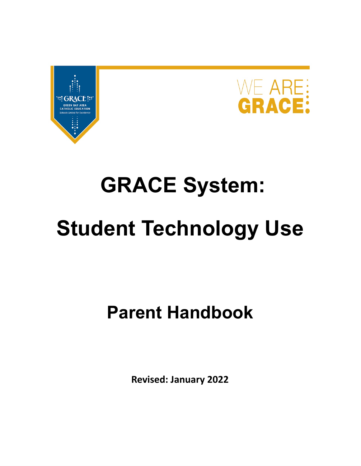



# **GRACE System:**

# **Student Technology Use**

# **Parent Handbook**

**Revised: January 2022**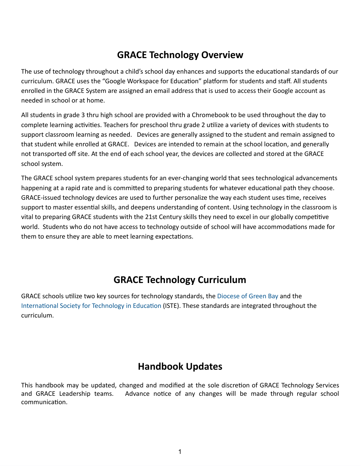# **GRACE Technology Overview**

The use of technology throughout a child's school day enhances and supports the educational standards of our curriculum. GRACE uses the "Google Workspace for Education" platform for students and staff. All students enrolled in the GRACE System are assigned an email address that is used to access their Google account as needed in school or at home.

All students in grade 3 thru high school are provided with a Chromebook to be used throughout the day to complete learning activities. Teachers for preschool thru grade 2 utilize a variety of devices with students to support classroom learning as needed. Devices are generally assigned to the student and remain assigned to that student while enrolled at GRACE. Devices are intended to remain at the school location, and generally not transported off site. At the end of each school year, the devices are collected and stored at the GRACE school system.

The GRACE school system prepares students for an ever-changing world that sees technological advancements happening at a rapid rate and is committed to preparing students for whatever educational path they choose. GRACE-issued technology devices are used to further personalize the way each student uses time, receives support to master essential skills, and deepens understanding of content. Using technology in the classroom is vital to preparing GRACE students with the 21st Century skills they need to excel in our globally competitive world. Students who do not have access to technology outside of school will have accommodations made for them to ensure they are able to meet learning expectations.

# **GRACE Technology Curriculum**

GRACE schools utilize two key sources for technology standards, the [Diocese](https://www.gbdioc.org/education/catholic-schools-curriculum) of Green Bay and the [International](https://www.iste.org/iste-standards) Society for Technology in Education (ISTE). These standards are integrated throughout the curriculum.

# **Handbook Updates**

This handbook may be updated, changed and modified at the sole discretion of GRACE Technology Services and GRACE Leadership teams. Advance notice of any changes will be made through regular school communication.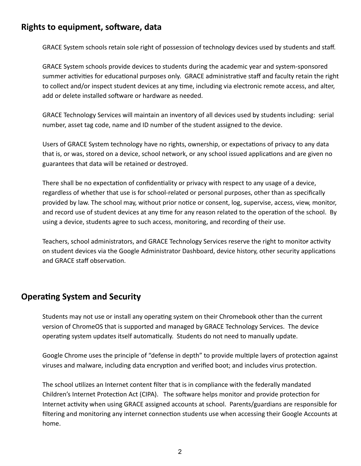### **Rights to equipment, software, data**

GRACE System schools retain sole right of possession of technology devices used by students and staff.

GRACE System schools provide devices to students during the academic year and system-sponsored summer activities for educational purposes only. GRACE administrative staff and faculty retain the right to collect and/or inspect student devices at any time, including via electronic remote access, and alter, add or delete installed software or hardware as needed.

GRACE Technology Services will maintain an inventory of all devices used by students including: serial number, asset tag code, name and ID number of the student assigned to the device.

Users of GRACE System technology have no rights, ownership, or expectations of privacy to any data that is, or was, stored on a device, school network, or any school issued applications and are given no guarantees that data will be retained or destroyed.

There shall be no expectation of confidentiality or privacy with respect to any usage of a device, regardless of whether that use is for school-related or personal purposes, other than as specifically provided by law. The school may, without prior notice or consent, log, supervise, access, view, monitor, and record use of student devices at any time for any reason related to the operation of the school. By using a device, students agree to such access, monitoring, and recording of their use.

Teachers, school administrators, and GRACE Technology Services reserve the right to monitor activity on student devices via the Google Administrator Dashboard, device history, other security applications and GRACE staff observation.

#### **Operating System and Security**

Students may not use or install any operating system on their Chromebook other than the current version of ChromeOS that is supported and managed by GRACE Technology Services. The device operating system updates itself automatically. Students do not need to manually update.

Google Chrome uses the principle of "defense in depth" to provide multiple layers of protection against viruses and malware, including data encryption and verified boot; and includes virus protection.

The school utilizes an Internet content filter that is in compliance with the federally mandated Children's Internet Protection Act (CIPA). The software helps monitor and provide protection for Internet activity when using GRACE assigned accounts at school. Parents/guardians are responsible for filtering and monitoring any internet connection students use when accessing their Google Accounts at home.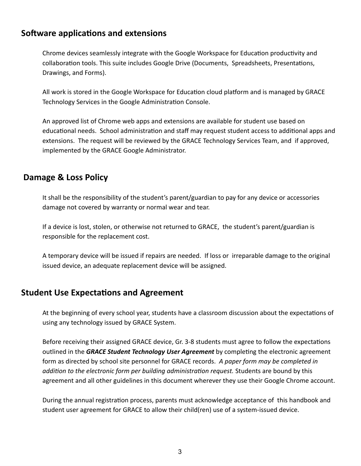#### **Software applications and extensions**

Chrome devices seamlessly integrate with the Google Workspace for Education productivity and collaboration tools. This suite includes Google Drive (Documents, Spreadsheets, Presentations, Drawings, and Forms).

All work is stored in the Google Workspace for Education cloud platform and is managed by GRACE Technology Services in the Google Administration Console.

An approved list of Chrome web apps and extensions are available for student use based on educational needs. School administration and staff may request student access to additional apps and extensions. The request will be reviewed by the GRACE Technology Services Team, and if approved, implemented by the GRACE Google Administrator.

### **Damage & Loss Policy**

It shall be the responsibility of the student's parent/guardian to pay for any device or accessories damage not covered by warranty or normal wear and tear.

If a device is lost, stolen, or otherwise not returned to GRACE, the student's parent/guardian is responsible for the replacement cost.

A temporary device will be issued if repairs are needed. If loss or irreparable damage to the original issued device, an adequate replacement device will be assigned.

#### **Student Use Expectations and Agreement**

At the beginning of every school year, students have a classroom discussion about the expectations of using any technology issued by GRACE System.

Before receiving their assigned GRACE device, Gr. 3-8 students must agree to follow the expectations outlined in the *GRACE Student Technology User Agreement* by completing the electronic agreement form as directed by school site personnel for GRACE records. *A paper form may be completed in addition to the electronic form per building administration request.* Students are bound by this agreement and all other guidelines in this document wherever they use their Google Chrome account.

During the annual registration process, parents must acknowledge acceptance of this handbook and student user agreement for GRACE to allow their child(ren) use of a system-issued device.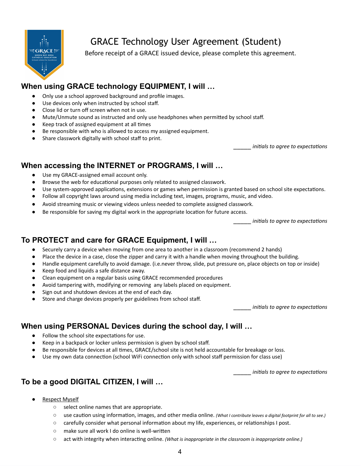

# GRACE Technology User Agreement (Student)

Before receipt of a GRACE issued device, please complete this agreement.

#### **When using GRACE technology EQUIPMENT, I will …**

- Only use a school approved background and profile images.
- Use devices only when instructed by school staff.
- Close lid or turn off screen when not in use.
- Mute/Unmute sound as instructed and only use headphones when permitted by school staff.
- Keep track of assigned equipment at all times
- Be responsible with who is allowed to access my assigned equipment.
- Share classwork digitally with school staff to print.

\_\_\_\_\_ *initials to agree to expectations*

#### **When accessing the INTERNET or PROGRAMS, I will …**

- Use my GRACE-assigned email account only.
- Browse the web for educational purposes only related to assigned classwork.
- Use system-approved applications, extensions or games when permission is granted based on school site expectations.
- Follow all copyright laws around using media including text, images, programs, music, and video.
- Avoid streaming music or viewing videos unless needed to complete assigned classwork.
- Be responsible for saving my digital work in the appropriate location for future access.

\_\_\_\_\_ *initials to agree to expectations*

### **To PROTECT and care for GRACE Equipment, I will …**

- Securely carry a device when moving from one area to another in a classroom (recommend 2 hands)
- Place the device in a case, close the zipper and carry it with a handle when moving throughout the building.
- Handle equipment carefully to avoid damage. (i.e.never throw, slide, put pressure on, place objects on top or inside)
- Keep food and liquids a safe distance away.
- Clean equipment on a regular basis using GRACE recommended procedures
- Avoid tampering with, modifying or removing any labels placed on equipment.
- Sign out and shutdown devices at the end of each day.
- Store and charge devices properly per guidelines from school staff.

\_\_\_\_\_ *initials to agree to expectations*

#### **When using PERSONAL Devices during the school day, I will …**

- Follow the school site expectations for use.
- Keep in a backpack or locker unless permission is given by school staff.
- Be responsible for devices at all times, GRACE/school site is not held accountable for breakage or loss.
- Use my own data connection (school WiFi connection only with school staff permission for class use)

\_\_\_\_\_ *initials to agree to expectations*

#### **To be a good DIGITAL CITIZEN, I will …**

- **Respect Myself** 
	- select online names that are appropriate.
	- use caution using information, images, and other media online. *(What I contribute leaves a digital footprint for all to see.)*
	- carefully consider what personal information about my life, experiences, or relationships I post.
	- make sure all work I do online is well-written
	- act with integrity when interacting online. *(What is inappropriate in the classroom is inappropriate online.)*